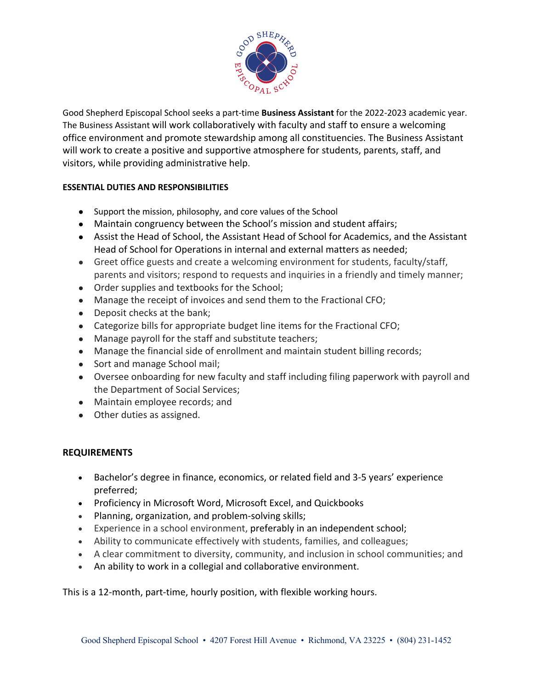

Good Shepherd Episcopal School seeks a part-time **Business Assistant** for the 2022-2023 academic year. The Business Assistant will work collaboratively with faculty and staff to ensure a welcoming office environment and promote stewardship among all constituencies. The Business Assistant will work to create a positive and supportive atmosphere for students, parents, staff, and visitors, while providing administrative help.

## **ESSENTIAL DUTIES AND RESPONSIBILITIES**

- Support the mission, philosophy, and core values of the School
- Maintain congruency between the School's mission and student affairs;
- Assist the Head of School, the Assistant Head of School for Academics, and the Assistant Head of School for Operations in internal and external matters as needed;
- Greet office guests and create a welcoming environment for students, faculty/staff, parents and visitors; respond to requests and inquiries in a friendly and timely manner;
- Order supplies and textbooks for the School;
- Manage the receipt of invoices and send them to the Fractional CFO;
- Deposit checks at the bank;
- Categorize bills for appropriate budget line items for the Fractional CFO;
- Manage payroll for the staff and substitute teachers;
- Manage the financial side of enrollment and maintain student billing records;
- Sort and manage School mail;
- Oversee onboarding for new faculty and staff including filing paperwork with payroll and the Department of Social Services;
- Maintain employee records; and
- Other duties as assigned.

## **REQUIREMENTS**

- Bachelor's degree in finance, economics, or related field and 3-5 years' experience preferred;
- Proficiency in Microsoft Word, Microsoft Excel, and Quickbooks
- Planning, organization, and problem-solving skills;
- Experience in a school environment, preferably in an independent school;
- Ability to communicate effectively with students, families, and colleagues;
- A clear commitment to diversity, community, and inclusion in school communities; and
- An ability to work in a collegial and collaborative environment.

This is a 12-month, part-time, hourly position, with flexible working hours.